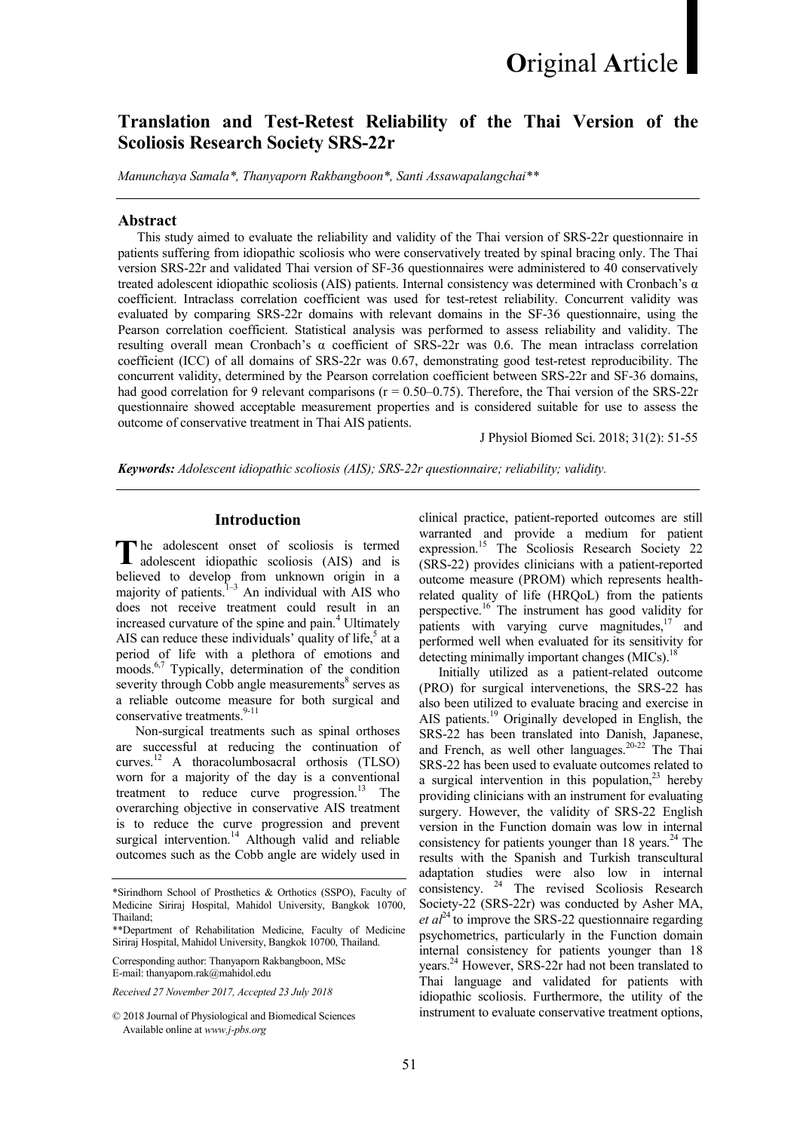# Translation and Test-Retest Reliability of the Thai Version of the Scoliosis Research Society SRS-22r

Manunchaya Samala\*, Thanyaporn Rakbangboon\*, Santi Assawapalangchai\*\*

#### Abstract

This study aimed to evaluate the reliability and validity of the Thai version of SRS-22r questionnaire in patients suffering from idiopathic scoliosis who were conservatively treated by spinal bracing only. The Thai version SRS-22r and validated Thai version of SF-36 questionnaires were administered to 40 conservatively treated adolescent idiopathic scoliosis (AIS) patients. Internal consistency was determined with Cronbach's α coefficient. Intraclass correlation coefficient was used for test-retest reliability. Concurrent validity was evaluated by comparing SRS-22r domains with relevant domains in the SF-36 questionnaire, using the Pearson correlation coefficient. Statistical analysis was performed to assess reliability and validity. The resulting overall mean Cronbach's α coefficient of SRS-22r was 0.6. The mean intraclass correlation coefficient (ICC) of all domains of SRS-22r was 0.67, demonstrating good test-retest reproducibility. The concurrent validity, determined by the Pearson correlation coefficient between SRS-22r and SF-36 domains, had good correlation for 9 relevant comparisons ( $r = 0.50-0.75$ ). Therefore, the Thai version of the SRS-22r questionnaire showed acceptable measurement properties and is considered suitable for use to assess the outcome of conservative treatment in Thai AIS patients.

J Physiol Biomed Sci. 2018; 31(2): 51-55

Keywords: Adolescent idiopathic scoliosis (AIS); SRS-22r questionnaire; reliability; validity.

## Introduction

The adolescent onset of scoliosis is termed adolescent idiopathic scoliosis (AIS) and is adolescent idiopathic scoliosis (AIS) and is believed to develop from unknown origin in a majority of patients. $1-\frac{1}{3}$  An individual with AIS who does not receive treatment could result in an increased curvature of the spine and pain.<sup>4</sup> Ultimately AIS can reduce these individuals' quality of life,<sup>5</sup> at a period of life with a plethora of emotions and moods.<sup>6,7</sup> Typically, determination of the condition severity through Cobb angle measurements $\delta$  serves as a reliable outcome measure for both surgical and conservative treatments.<sup>9-11</sup>

Non-surgical treatments such as spinal orthoses are successful at reducing the continuation of curves.<sup>12</sup> A thoracolumbosacral orthosis (TLSO) worn for a majority of the day is a conventional treatment to reduce curve progression.<sup>13</sup> The overarching objective in conservative AIS treatment is to reduce the curve progression and prevent surgical intervention.<sup>14</sup> Although valid and reliable outcomes such as the Cobb angle are widely used in

Corresponding author: Thanyaporn Rakbangboon, MSc E-mail: thanyaporn.rak@mahidol.edu

Received 27 November 2017, Accepted 23 July 2018

clinical practice, patient-reported outcomes are still warranted and provide a medium for patient expression.<sup>15</sup> The Scoliosis Research Society 22 (SRS-22) provides clinicians with a patient-reported outcome measure (PROM) which represents healthrelated quality of life (HRQoL) from the patients perspective.<sup>16</sup> The instrument has good validity for patients with varying curve magnitudes, $17$  and performed well when evaluated for its sensitivity for detecting minimally important changes  $(MICs)^{18}$ 

Initially utilized as a patient-related outcome (PRO) for surgical intervenetions, the SRS-22 has also been utilized to evaluate bracing and exercise in AIS patients.<sup>19</sup> Originally developed in English, the SRS-22 has been translated into Danish, Japanese, and French, as well other languages.<sup>20-22</sup> The Thai SRS-22 has been used to evaluate outcomes related to a surgical intervention in this population,  $2^3$  hereby providing clinicians with an instrument for evaluating surgery. However, the validity of SRS-22 English version in the Function domain was low in internal consistency for patients younger than  $18$  years.<sup>24</sup> The results with the Spanish and Turkish transcultural adaptation studies were also low in internal consistency.<sup>24</sup> The revised Scoliosis Research Society-22 (SRS-22r) was conducted by Asher MA, *et al*<sup>24</sup> to improve the SRS-22 questionnaire regarding psychometrics, particularly in the Function domain internal consistency for patients younger than 18 years.<sup>24</sup> However, SRS-22r had not been translated to Thai language and validated for patients with idiopathic scoliosis. Furthermore, the utility of the instrument to evaluate conservative treatment options,

<sup>\*</sup>Sirindhorn School of Prosthetics & Orthotics (SSPO), Faculty of Medicine Siriraj Hospital, Mahidol University, Bangkok 10700, Thailand;

<sup>\*\*</sup>Department of Rehabilitation Medicine, Faculty of Medicine Siriraj Hospital, Mahidol University, Bangkok 10700, Thailand.

<sup>© 2018</sup> Journal of Physiological and Biomedical Sciences Available online at www.j-pbs.org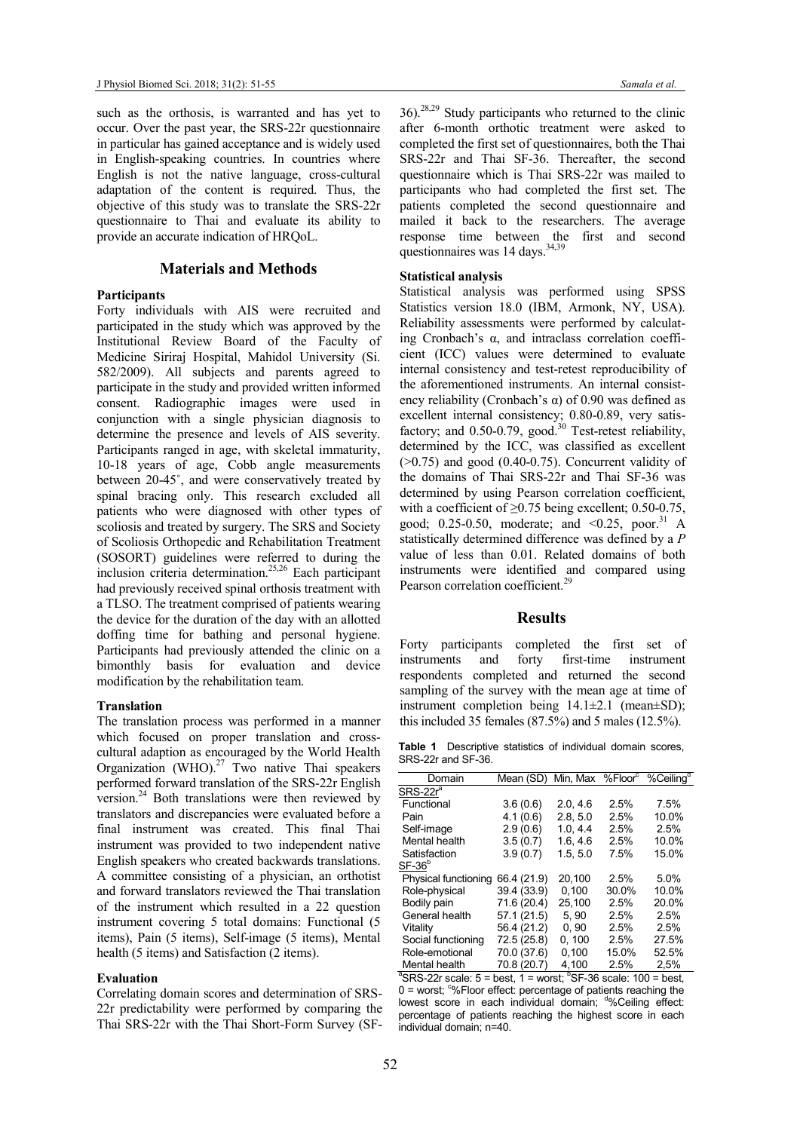such as the orthosis, is warranted and has yet to occur. Over the past year, the SRS-22r questionnaire in particular has gained acceptance and is widely used in English-speaking countries. In countries where English is not the native language, cross-cultural adaptation of the content is required. Thus, the objective of this study was to translate the SRS-22r questionnaire to Thai and evaluate its ability to provide an accurate indication of HRQoL.

#### Materials and Methods

#### **Participants**

Forty individuals with AIS were recruited and participated in the study which was approved by the Institutional Review Board of the Faculty of Medicine Siriraj Hospital, Mahidol University (Si. 582/2009). All subjects and parents agreed to participate in the study and provided written informed consent. Radiographic images were used in conjunction with a single physician diagnosis to determine the presence and levels of AIS severity. Participants ranged in age, with skeletal immaturity, 10-18 years of age, Cobb angle measurements between 20-45˚, and were conservatively treated by spinal bracing only. This research excluded all patients who were diagnosed with other types of scoliosis and treated by surgery. The SRS and Society of Scoliosis Orthopedic and Rehabilitation Treatment (SOSORT) guidelines were referred to during the inclusion criteria determination.<sup>25,26</sup> Each participant had previously received spinal orthosis treatment with a TLSO. The treatment comprised of patients wearing the device for the duration of the day with an allotted doffing time for bathing and personal hygiene. Participants had previously attended the clinic on a bimonthly basis for evaluation and device modification by the rehabilitation team.

#### Translation

The translation process was performed in a manner which focused on proper translation and crosscultural adaption as encouraged by the World Health Organization (WHO).<sup>27</sup> Two native Thai speakers performed forward translation of the SRS-22r English version.<sup>24</sup> Both translations were then reviewed by translators and discrepancies were evaluated before a final instrument was created. This final Thai instrument was provided to two independent native English speakers who created backwards translations. A committee consisting of a physician, an orthotist and forward translators reviewed the Thai translation of the instrument which resulted in a 22 question instrument covering 5 total domains: Functional (5 items), Pain (5 items), Self-image (5 items), Mental health (5 items) and Satisfaction (2 items).

#### Evaluation

Correlating domain scores and determination of SRS-22r predictability were performed by comparing the Thai SRS-22r with the Thai Short-Form Survey (SF-

 $36$ .<sup>28,29</sup> Study participants who returned to the clinic after 6-month orthotic treatment were asked to completed the first set of questionnaires, both the Thai SRS-22r and Thai SF-36. Thereafter, the second questionnaire which is Thai SRS-22r was mailed to participants who had completed the first set. The patients completed the second questionnaire and mailed it back to the researchers. The average response time between the first and second questionnaires was 14 days.<sup>34,39</sup>

# Statistical analysis

Statistical analysis was performed using SPSS Statistics version 18.0 (IBM, Armonk, NY, USA). Reliability assessments were performed by calculating Cronbach's α, and intraclass correlation coefficient (ICC) values were determined to evaluate internal consistency and test-retest reproducibility of the aforementioned instruments. An internal consistency reliability (Cronbach's α) of 0.90 was defined as excellent internal consistency; 0.80-0.89, very satisfactory; and  $0.50$ -0.79, good.<sup>30</sup> Test-retest reliability, determined by the ICC, was classified as excellent  $($ >0.75) and good (0.40-0.75). Concurrent validity of the domains of Thai SRS-22r and Thai SF-36 was determined by using Pearson correlation coefficient, with a coefficient of  $\geq$ 0.75 being excellent; 0.50-0.75, good; 0.25-0.50, moderate; and  $\leq 0.25$ , poor.<sup>31</sup> A statistically determined difference was defined by a P value of less than 0.01. Related domains of both instruments were identified and compared using Pearson correlation coefficient.<sup>29</sup>

#### **Results**

Forty participants completed the first set of instruments and forty first-time instrument respondents completed and returned the second sampling of the survey with the mean age at time of instrument completion being 14.1±2.1 (mean±SD); this included 35 females (87.5%) and 5 males (12.5%).

Table 1 Descriptive statistics of individual domain scores, SRS-22r and SF-36.

| Mean (SD)   |          |       |                                                    |
|-------------|----------|-------|----------------------------------------------------|
|             |          |       |                                                    |
| 3.6(0.6)    | 2.0.4.6  | 2.5%  | 7.5%                                               |
| 4.1(0.6)    | 2.8, 5.0 | 2.5%  | 10.0%                                              |
| 2.9(0.6)    | 1.0.4.4  | 2.5%  | 2.5%                                               |
| 3.5(0.7)    | 1.6.4.6  | 2.5%  | 10.0%                                              |
| 3.9(0.7)    | 1.5.5.0  | 7.5%  | 15.0%                                              |
|             |          |       |                                                    |
| 66.4 (21.9) | 20.100   | 2.5%  | 5.0%                                               |
| 39.4 (33.9) | 0.100    | 30.0% | 10.0%                                              |
| 71.6 (20.4) | 25.100   | 2.5%  | 20.0%                                              |
| 57.1(21.5)  | 5.90     | 2.5%  | 2.5%                                               |
| 56.4 (21.2) | 0.90     | 2.5%  | 2.5%                                               |
| 72.5 (25.8) | 0.100    | 2.5%  | 27.5%                                              |
| 70.0 (37.6) | 0,100    | 15.0% | 52.5%                                              |
| 70.8 (20.7) | 4.100    | 2.5%  | 2.5%                                               |
|             |          |       | Min, Max %Floor <sup>c</sup> %Ceiling <sup>d</sup> |

 $\textsuperscript{a}$ SRS-22r scale: 5 = best, 1 = worst;  $\textsuperscript{b}$ SF-36 scale: 100 = best,  $0 =$  worst;  $\degree$ %Floor effect: percentage of patients reaching the lowest score in each individual domain: <sup>do</sup> Ceiling effect: percentage of patients reaching the highest score in each individual domain; n=40.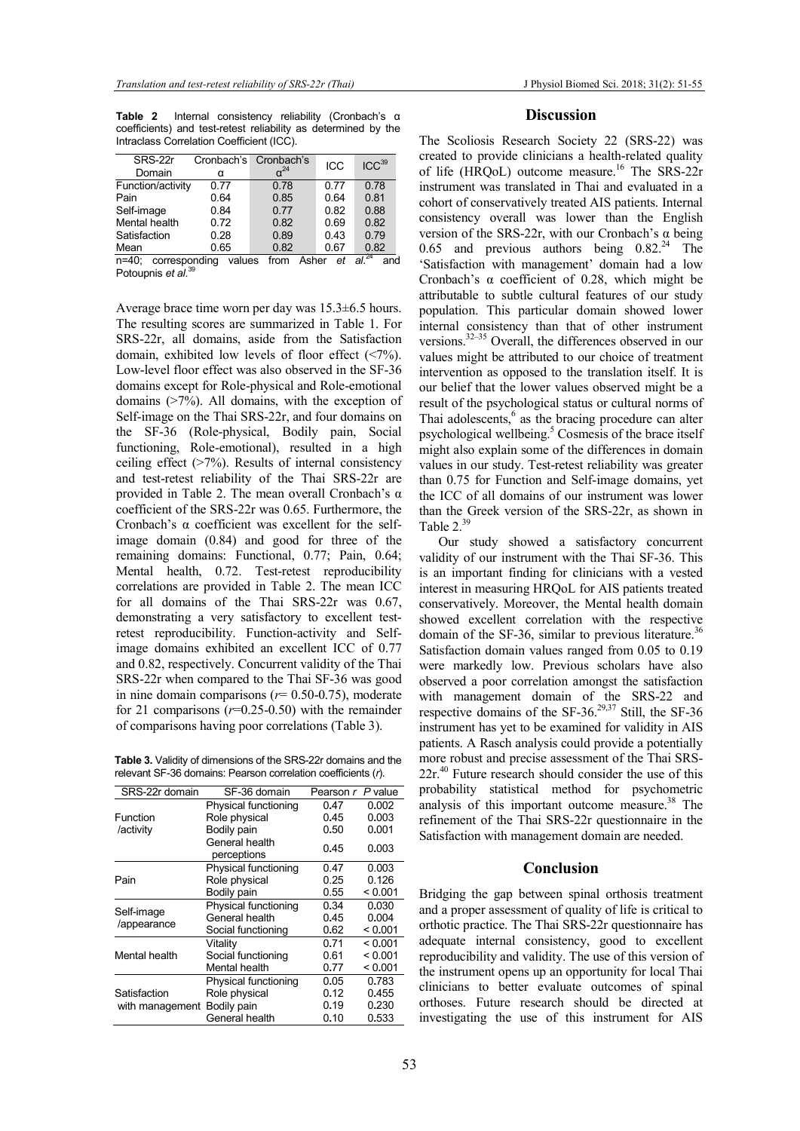Table 2 Internal consistency reliability (Cronbach's α coefficients) and test-retest reliability as determined by the Intraclass Correlation Coefficient (ICC).

| SRS-22r                   |        | Cronbach's Cronbach's | ICC  | ICC <sup>39</sup> |
|---------------------------|--------|-----------------------|------|-------------------|
| Domain                    | α      | $\sim$ <sup>24</sup>  |      |                   |
| Function/activity         | 0.77   | 0.78                  | 0.77 | 0.78              |
| Pain                      | 0.64   | 0.85                  | 0.64 | 0.81              |
| Self-image                | 0.84   | 0.77                  | 0.82 | 0.88              |
| Mental health             | 0.72   | 0.82                  | 0.69 | 0.82              |
| Satisfaction              | 0.28   | 0.89                  | 0.43 | 0.79              |
| Mean                      | 0.65   | 0.82                  | 0.67 | 0.82              |
| corresponding<br>$n=40$ : | values | Asher<br>from         | et   | $a^{\sqrt{24}}$   |

Potoupnis et al.<sup>39</sup>

Average brace time worn per day was 15.3±6.5 hours. The resulting scores are summarized in Table 1. For SRS-22r, all domains, aside from the Satisfaction domain, exhibited low levels of floor effect (<7%). Low-level floor effect was also observed in the SF-36 domains except for Role-physical and Role-emotional domains (>7%). All domains, with the exception of Self-image on the Thai SRS-22r, and four domains on the SF-36 (Role-physical, Bodily pain, Social functioning, Role-emotional), resulted in a high ceiling effect (>7%). Results of internal consistency and test-retest reliability of the Thai SRS-22r are provided in Table 2. The mean overall Cronbach's α coefficient of the SRS-22r was 0.65. Furthermore, the Cronbach's α coefficient was excellent for the selfimage domain (0.84) and good for three of the remaining domains: Functional, 0.77; Pain, 0.64; Mental health, 0.72. Test-retest reproducibility correlations are provided in Table 2. The mean ICC for all domains of the Thai SRS-22r was 0.67, demonstrating a very satisfactory to excellent testretest reproducibility. Function-activity and Selfimage domains exhibited an excellent ICC of 0.77 and 0.82, respectively. Concurrent validity of the Thai SRS-22r when compared to the Thai SF-36 was good in nine domain comparisons ( $r= 0.50$ -0.75), moderate for 21 comparisons  $(r=0.25-0.50)$  with the remainder of comparisons having poor correlations (Table 3).

Table 3. Validity of dimensions of the SRS-22r domains and the relevant SF-36 domains: Pearson correlation coefficients (r).

| SRS-22r domain                  | SF-36 domain                  | Pearson r P value |         |
|---------------------------------|-------------------------------|-------------------|---------|
|                                 | Physical functioning          | 0.47              | 0.002   |
| Function                        | Role physical                 | 0.45              | 0.003   |
| /activity                       | Bodily pain                   | 0.50              | 0.001   |
|                                 | General health<br>perceptions | 0.45              | 0.003   |
|                                 | Physical functioning          | 0.47              | 0.003   |
| Pain                            | Role physical                 | 0.25              | 0.126   |
|                                 | Bodily pain                   | 0.55              | < 0.001 |
| Self-image<br>/appearance       | Physical functioning          | 0.34              | 0.030   |
|                                 | General health                | 0.45              | 0.004   |
|                                 | Social functioning            | 0.62              | < 0.001 |
| Mental health                   | Vitality                      | 0.71              | < 0.001 |
|                                 | Social functioning            | 0.61              | < 0.001 |
|                                 | Mental health                 | 0.77              | < 0.001 |
| Satisfaction<br>with management | Physical functioning          | 0.05              | 0.783   |
|                                 | Role physical                 | 0.12              | 0.455   |
|                                 | Bodily pain                   | 0.19              | 0.230   |
|                                 | General health                | 0.10              | 0.533   |
|                                 |                               |                   |         |

## **Discussion**

The Scoliosis Research Society 22 (SRS-22) was created to provide clinicians a health-related quality of life (HRQoL) outcome measure.<sup>16</sup> The SRS-22r instrument was translated in Thai and evaluated in a cohort of conservatively treated AIS patients. Internal consistency overall was lower than the English version of the SRS-22r, with our Cronbach's α being 0.65 and previous authors being  $0.82<sup>24</sup>$  The 'Satisfaction with management' domain had a low Cronbach's  $\alpha$  coefficient of 0.28, which might be attributable to subtle cultural features of our study population. This particular domain showed lower internal consistency than that of other instrument versions.<sup>32–35</sup> Overall, the differences observed in our values might be attributed to our choice of treatment intervention as opposed to the translation itself. It is our belief that the lower values observed might be a result of the psychological status or cultural norms of Thai adolescents,<sup>6</sup> as the bracing procedure can alter psychological wellbeing.<sup>5</sup> Cosmesis of the brace itself might also explain some of the differences in domain values in our study. Test-retest reliability was greater than 0.75 for Function and Self-image domains, yet the ICC of all domains of our instrument was lower than the Greek version of the SRS-22r, as shown in Table  $2.^{39}$ 

Our study showed a satisfactory concurrent validity of our instrument with the Thai SF-36. This is an important finding for clinicians with a vested interest in measuring HRQoL for AIS patients treated conservatively. Moreover, the Mental health domain showed excellent correlation with the respective domain of the SF-36, similar to previous literature.<sup>36</sup> Satisfaction domain values ranged from 0.05 to 0.19 were markedly low. Previous scholars have also observed a poor correlation amongst the satisfaction with management domain of the SRS-22 and respective domains of the SF-36.<sup>29,37</sup> Still, the SF-36 instrument has yet to be examined for validity in AIS patients. A Rasch analysis could provide a potentially more robust and precise assessment of the Thai SRS- $22r<sup>40</sup>$  Future research should consider the use of this probability statistical method for psychometric analysis of this important outcome measure.<sup>38</sup> The refinement of the Thai SRS-22r questionnaire in the Satisfaction with management domain are needed.

#### Conclusion

Bridging the gap between spinal orthosis treatment and a proper assessment of quality of life is critical to orthotic practice. The Thai SRS-22r questionnaire has adequate internal consistency, good to excellent reproducibility and validity. The use of this version of the instrument opens up an opportunity for local Thai clinicians to better evaluate outcomes of spinal orthoses. Future research should be directed at investigating the use of this instrument for AIS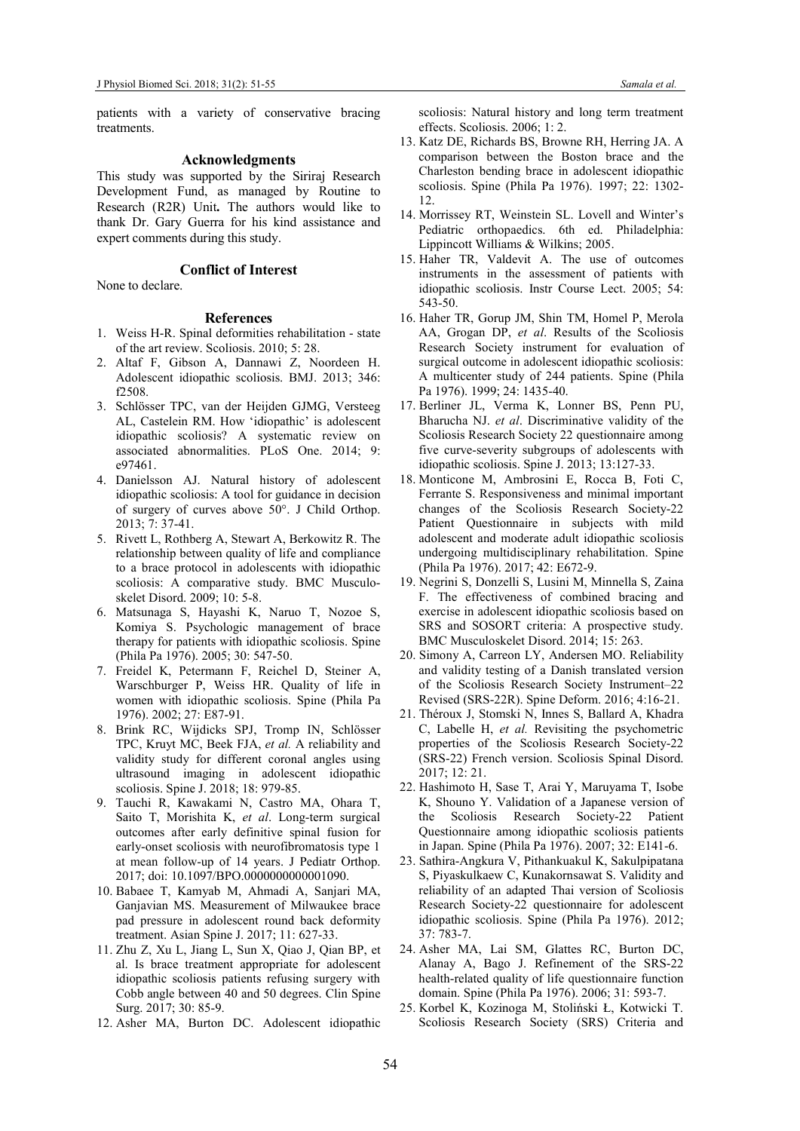patients with a variety of conservative bracing treatments.

#### Acknowledgments

This study was supported by the Siriraj Research Development Fund, as managed by Routine to Research (R2R) Unit. The authors would like to thank Dr. Gary Guerra for his kind assistance and expert comments during this study.

# Conflict of Interest

# None to declare.

## References

- 1. Weiss H-R. Spinal deformities rehabilitation state of the art review. Scoliosis. 2010; 5: 28.
- 2. Altaf F, Gibson A, Dannawi Z, Noordeen H. Adolescent idiopathic scoliosis. BMJ. 2013; 346: f2508.
- 3. Schlösser TPC, van der Heijden GJMG, Versteeg AL, Castelein RM. How 'idiopathic' is adolescent idiopathic scoliosis? A systematic review on associated abnormalities. PLoS One. 2014; 9: e97461.
- 4. Danielsson AJ. Natural history of adolescent idiopathic scoliosis: A tool for guidance in decision of surgery of curves above 50°. J Child Orthop. 2013; 7: 37-41.
- 5. Rivett L, Rothberg A, Stewart A, Berkowitz R. The relationship between quality of life and compliance to a brace protocol in adolescents with idiopathic scoliosis: A comparative study. BMC Musculoskelet Disord. 2009; 10: 5-8.
- 6. Matsunaga S, Hayashi K, Naruo T, Nozoe S, Komiya S. Psychologic management of brace therapy for patients with idiopathic scoliosis. Spine (Phila Pa 1976). 2005; 30: 547-50.
- 7. Freidel K, Petermann F, Reichel D, Steiner A, Warschburger P, Weiss HR. Quality of life in women with idiopathic scoliosis. Spine (Phila Pa 1976). 2002; 27: E87-91.
- 8. Brink RC, Wijdicks SPJ, Tromp IN, Schlösser TPC, Kruyt MC, Beek FJA, et al. A reliability and validity study for different coronal angles using ultrasound imaging in adolescent idiopathic scoliosis. Spine J. 2018; 18: 979-85.
- 9. Tauchi R, Kawakami N, Castro MA, Ohara T, Saito T, Morishita K, et al. Long-term surgical outcomes after early definitive spinal fusion for early-onset scoliosis with neurofibromatosis type 1 at mean follow-up of 14 years. J Pediatr Orthop. 2017; doi: 10.1097/BPO.0000000000001090.
- 10. Babaee T, Kamyab M, Ahmadi A, Sanjari MA, Ganjavian MS. Measurement of Milwaukee brace pad pressure in adolescent round back deformity treatment. Asian Spine J. 2017; 11: 627-33.
- 11. Zhu Z, Xu L, Jiang L, Sun X, Qiao J, Qian BP, et al. Is brace treatment appropriate for adolescent idiopathic scoliosis patients refusing surgery with Cobb angle between 40 and 50 degrees. Clin Spine Surg. 2017; 30: 85-9.
- 12. Asher MA, Burton DC. Adolescent idiopathic

scoliosis: Natural history and long term treatment effects. Scoliosis. 2006; 1: 2.

- 13. Katz DE, Richards BS, Browne RH, Herring JA. A comparison between the Boston brace and the Charleston bending brace in adolescent idiopathic scoliosis. Spine (Phila Pa 1976). 1997; 22: 1302- 12.
- 14. Morrissey RT, Weinstein SL. Lovell and Winter's Pediatric orthopaedics. 6th ed. Philadelphia: Lippincott Williams & Wilkins; 2005.
- 15. Haher TR, Valdevit A. The use of outcomes instruments in the assessment of patients with idiopathic scoliosis. Instr Course Lect. 2005; 54: 543-50.
- 16. Haher TR, Gorup JM, Shin TM, Homel P, Merola AA, Grogan DP, et al. Results of the Scoliosis Research Society instrument for evaluation of surgical outcome in adolescent idiopathic scoliosis: A multicenter study of 244 patients. Spine (Phila Pa 1976). 1999; 24: 1435-40.
- 17. Berliner JL, Verma K, Lonner BS, Penn PU, Bharucha NJ. et al. Discriminative validity of the Scoliosis Research Society 22 questionnaire among five curve-severity subgroups of adolescents with idiopathic scoliosis. Spine J. 2013; 13:127-33.
- 18. Monticone M, Ambrosini E, Rocca B, Foti C, Ferrante S. Responsiveness and minimal important changes of the Scoliosis Research Society-22 Patient Questionnaire in subjects with mild adolescent and moderate adult idiopathic scoliosis undergoing multidisciplinary rehabilitation. Spine (Phila Pa 1976). 2017; 42: E672-9.
- 19. Negrini S, Donzelli S, Lusini M, Minnella S, Zaina F. The effectiveness of combined bracing and exercise in adolescent idiopathic scoliosis based on SRS and SOSORT criteria: A prospective study. BMC Musculoskelet Disord. 2014; 15: 263.
- 20. Simony A, Carreon LY, Andersen MO. Reliability and validity testing of a Danish translated version of the Scoliosis Research Society Instrument–22 Revised (SRS-22R). Spine Deform. 2016; 4:16-21.
- 21. Théroux J, Stomski N, Innes S, Ballard A, Khadra C, Labelle H, et al. Revisiting the psychometric properties of the Scoliosis Research Society-22 (SRS-22) French version. Scoliosis Spinal Disord. 2017; 12: 21.
- 22. Hashimoto H, Sase T, Arai Y, Maruyama T, Isobe K, Shouno Y. Validation of a Japanese version of the Scoliosis Research Society-22 Patient Questionnaire among idiopathic scoliosis patients in Japan. Spine (Phila Pa 1976). 2007; 32: E141-6.
- 23. Sathira-Angkura V, Pithankuakul K, Sakulpipatana S, Piyaskulkaew C, Kunakornsawat S. Validity and reliability of an adapted Thai version of Scoliosis Research Society-22 questionnaire for adolescent idiopathic scoliosis. Spine (Phila Pa 1976). 2012; 37: 783-7.
- 24. Asher MA, Lai SM, Glattes RC, Burton DC, Alanay A, Bago J. Refinement of the SRS-22 health-related quality of life questionnaire function domain. Spine (Phila Pa 1976). 2006; 31: 593-7.
- 25. Korbel K, Kozinoga M, Stoliński Ł, Kotwicki T. Scoliosis Research Society (SRS) Criteria and